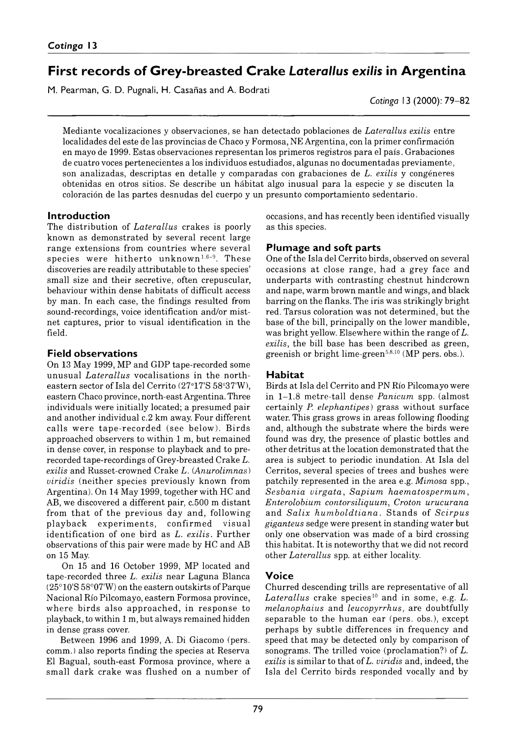# **First records of Grey-breasted Crake** *Laterallus exilis* **in Argentina**

M. Pearman, G. D. Pugnali, H. Casañas and A. Bodrati

*Cotinga* 13 (2000): 79– 82

Mediante vocalizaciones y observaciones, se han detectado poblaciones de *Laterallus exilis* entre localidades del este de las provincias de Chaco y Formosa, NE Argentina, con la primer confirmación en mayo de 1999. Estas observaciones representan los primeros registros para el país. Grabaciones de cuatro voces pertenecientes a los individuos estudiados, algunas no documentadas previamente, son analizadas, descriptas en detalle y comparadas con grabaciones de *L. exilis* y congéneres obtenidas en otros sitios. Se describe un hábitat algo inusual para la especie y se discuten la coloración de las partes desnudas del cuerpo y un presunto comportamiento sedentario.

## **Introduction**

The distribution of *Laterallus* crakes is poorly known as demonstrated by several recent large range extensions from countries where several species were hitherto unknown<sup>1,6-9</sup>. These discoveries are readily attributable to these species' small size and their secretive, often crepuscular, behaviour within dense habitats of difficult access by man. In each case, the findings resulted from sound-recordings, voice identification and/or mistnet captures, prior to visual identification in the field.

## **Field observations**

On 13 May 1999, MP and GDP tape-recorded some unusual *Laterallus* vocalisations in the northeastern sector of Isla del Cerrito (27°17'S 58°37'W), eastern Chaco province, north-east Argentina. Three individuals were initially located; a presumed pair and another individual c.2 km away. Four different calls were tape-recorded (see below). Birds approached observers to within 1 m, but remained in dense cover, in response to playback and to prerecorded tape-recordings of Grey-breasted Crake *L. exilis* and Russet-crowned Crake *L.* (*Anurolimnas*) *viridis* (neither species previously known from Argentina). On 14 May 1999, together with HC and AB, we discovered a different pair, c. 500 m distant from that of the previous day and, following playback experiments, confirmed visual identification of one bird as *L. exilis.* Further observations of this pair were made by HC and AB on 15 May.

On 15 and 16 October 1999, MP located and tape-recorded three *L. exilis* near Laguna Blanca (25°10'S 58°07'W) on the eastern outskirts of Parque Nacional Río Pilcomayo, eastern Formosa province, where birds also approached, in response to playback, to within 1 m, but always remained hidden in dense grass cover.

Between 1996 and 1999, A. Di Giacomo (pers. comm.) also reports finding the species at Reserva El Bagual, south-east Formosa province, where a small dark crake was flushed on a number of occasions, and has recently been identified visually as this species.

## **Plumage and soft parts**

One of the Isla del Cerrito birds, observed on several occasions at close range, had a grey face and underparts with contrasting chestnut hindcrown and nape, warm brown mantle and wings, and black barring on the flanks. The iris was strikingly bright red. Tarsus coloration was not determined, but the base of the bill, principally on the lower mandible, was bright yellow. Elsewhere within the range of *L. exilis*, the bill base has been described as green, greenish or bright lime-green<sup>5,8,10</sup> (MP pers. obs.).

# **Habitat**

Birds at Isla del Cerrito and PN Río Pilcomayo were in 1–1.8- metre-tall dense *Panicum* spp. (almost certainly *P. elephantipes*) grass without surface water. This grass grows in areas following flooding and, although the substrate where the birds were found was dry, the presence of plastic bottles and other detritus at the location demonstrated that the area is subject to periodic inundation. At Isla del Cerritos, several species of trees and bushes were patchily represented in the area e.g. *Mimosa* spp., *Sesbania virgata*, *Sapium haematospermum*, *Enterolobium contorsiliquum*, *Croton urucurana* and *Salix hum boldtiana.* Stands of *Scirpus giganteus* sedge were present in standing water but only one observation was made of a bird crossing this habitat. It is noteworthy that we did not record other *Laterallus* spp. at either locality.

# **Voice**

Churred descending trills are representative of all Laterallus crake species<sup>10</sup> and in some, e.g. L. *melanophaius* and *leucopyrrhus*, are doubtfully separable to the human ear (pers. obs.), except perhaps by subtle differences in frequency and speed that may be detected only by comparison of sonograms. The trilled voice (proclamation?) of *L. exilis* is similar to that of *L. viridis* and, indeed, the Isla del Cerrito birds responded vocally and by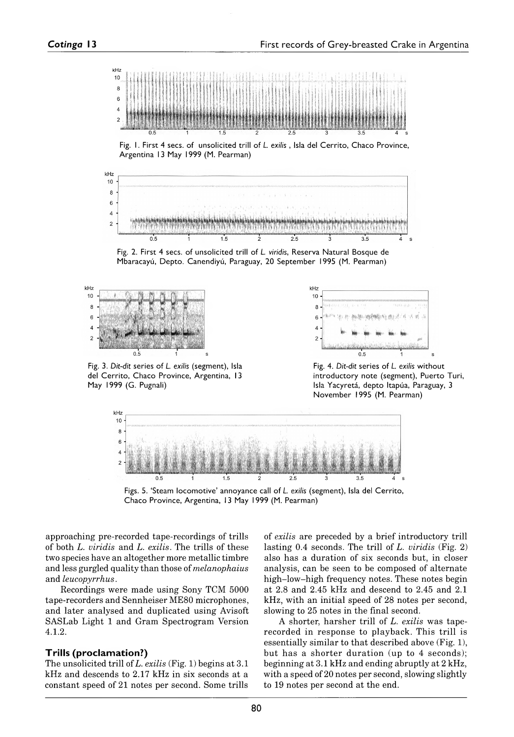

Fig. 1. First 4 secs. of unsolicited trill of *L. exilis*, Isla del Cerrito, Chaco Province, Argentina 13 May 1999 (M. Pearman)



Fig. 2. First 4 secs. of unsolicited trill of *L. viridis*, Reserva Natural Bosque de Mbaracayú, Depto. Canendiyú, Paraguay, 20 September 1995 (M. Pearman)



Fig. 3. Dit-dit series of *L. exilis* (segment), Isla del Cerrito, Chaco Province, Argentina, 13 May 1999 (G. Pugnali)



Fig. 4. Dit-dit series of *L. exilis* without introductory note (segment), Puerto Turi, Isla Yacyretá, depto Itapúa, Paraguay, 3 November 1995 (M. Pearman)



Figs. 5. 'Steam locomotive' annoyance call of *L. exilis* (segment), Isla del Cerrito, Chaco Province, Argentina, 13 May 1999 (M. Pearman)

approaching pre-recorded tape-recordings of trills of both *L. viridis* and *L. exilis.* The trills of these two species have an altogether more metallic timbre and less gurgled quality than those of *melanophaius* and *leucopyrrhus.*

Recordings were made using Sony TCM 5000 tape-recorders and Sennheiser ME80 microphones, and later analysed and duplicated using Avisoft SASLab Light 1 and Gram Spectrogram Version 4.1.2.

#### **Trills (proclamation?)**

The unsolicited trill of *L. exilis* (Fig. 1) begins at 3.1 kHz and descends to 2.17 kHz in six seconds at a constant speed of 21 notes per second. Some trills of *exilis* are preceded by a brief introductory trill lasting 0.4 seconds. The trill of *L. viridis* (Fig. 2) also has a duration of six seconds but, in closer analysis, can be seen to be composed of alternate high-low-high frequency notes. These notes begin at 2.8 and 2.45 kHz and descend to 2.45 and 2.1 kHz, with an initial speed of 28 notes per second, slowing to 25 notes in the final second.

A shorter, harsher trill of *L. exilis* was taperecorded in response to playback. This trill is essentially similar to that described above (Fig. 1), but has a shorter duration (up to 4 seconds); beginning at 3.1 kHz and ending abruptly at 2 kHz, with a speed of 20 notes per second, slowing slightly to 19 notes per second at the end.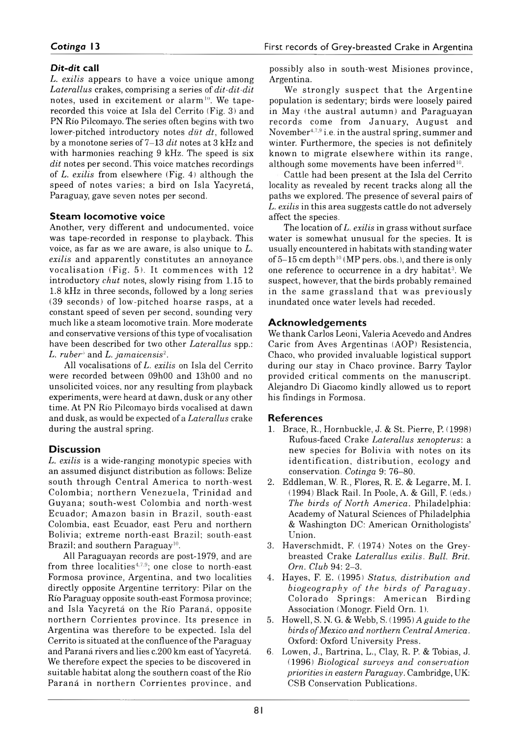#### *Dit-dit* **call**

*L. exilis* appears to have a voice unique among *Laterallus* crakes, comprising a series of *dit-dit-dit* notes, used in excitement or alarm<sup>10</sup>. We taperecorded this voice at Isla del Cerrito (Fig. 3) and PN Rio Pilcomayo. The series often begins with two lower-pitched introductory notes *düt dt*, followed by a monotone series of 7–13 *dit* notes at 3 kHz and with harmonies reaching 9 kHz. The speed is six *dit* notes per second. This voice matches recordings of *L. exilis* from elsewhere (Fig. 4) although the speed of notes varies; a bird on Isla Yacyretá, Paraguay, gave seven notes per second.

#### **Steam locomotive voice**

Another, very different and undocumented, voice was tape-recorded in response to playback. This voice, as far as we are aware, is also unique to *L. exilis* and apparently constitutes an annoyance vocalisation (Fig.  $5$ ). It commences with  $12$ introductory *chut* notes, slowly rising from 1.15 to 1.8 kHz in three seconds, followed by a long series (39 seconds) of low-pitched hoarse rasps, at a constant speed of seven per second, sounding very much like a steam locomotive train. More moderate and conservative versions of this type of vocalisation have been described for two other *Laterallus* spp.: *L. ruber*<sup>3</sup> and *L. jamaicensis<sup>2</sup>.* 

All vocalisations of *L. exilis* on Isla del Cerrito were recorded between 09h00 and 13h00 and no unsolicited voices, nor any resulting from playback experiments, were heard at dawn, dusk or any other time. At PN Río Pilcomayo birds vocalised at dawn and dusk, as would be expected of a *Laterallus* crake during the austral spring.

#### **Discussion**

*L. exilis* is a wide-ranging monotypic species with an assumed disjunct distribution as follows: Belize south through Central America to north-west Colombia; northern Venezuela, Trinidad and Guyana; south-west Colombia and north-west Ecuador; Amazon basin in Brazil, south-east Colombia, east Ecuador, east Peru and northern Bolivia; extreme north-east Brazil; south-east Brazil; and southern Paraguay<sup>10</sup>.

All Paraguayan records are post-1979, and are from three localities<sup> $4,7,9$ </sup>; one close to north-east Formosa province, Argentina, and two localities directly opposite Argentine territory: Pilar on the Río Paraguay opposite south-east Formosa province; and Isla Yacyretá on the Río Paraná, opposite northern Corrientes province. Its presence in Argentina was therefore to be expected. Isla del Cerrito is situated at the confluence of the Paraguay and Paraná rivers and lies c. 200 km east of Yacyretá. We therefore expect the species to be discovered in suitable habitat along the southern coast of the Río Paraná in northern Corrientes province, and

possibly also in south-west Misiones province, Argentina.

We strongly suspect that the Argentine population is sedentary; birds were loosely paired in May (the austral autumn) and Paraguayan records come from January, August and November4,7,9 i.e. in the austral spring, summer and winter. Furthermore, the species is not definitely known to migrate elsewhere within its range, although some movements have been inferred<sup>10</sup>.

Cattle had been present at the Isla del Cerrito locality as revealed by recent tracks along all the paths we explored. The presence of several pairs of *L. exilis* in this area suggests cattle do not adversely affect the species.

The location of *L. exilis* in grass without surface water is somewhat unusual for the species. It is usually encountered in habitats with standing water of  $5-15$  cm depth<sup>10</sup> (MP pers. obs.), and there is only one reference to occurrence in a dry habitat<sup>3</sup>. We suspect, however, that the birds probably remained in the same grassland that was previously inundated once water levels had receded.

## **Acknow ledgem ents**

We thank Carlos Leoni, Valeria Acevedo and Andres Carie from Aves Argentinas (AOP) Resistencia, Chaco, who provided invaluable logistical support during our stay in Chaco province. Barry Taylor provided critical comments on the manuscript. Alejandro Di Giacomo kindly allowed us to report his findings in Formosa.

# **References**

- 1. Brace, R., Hornbuckle, J. & St. Pierre, P. (1998) Rufous-faced Crake *Laterallus xenopterus',* a new species for Bolivia with notes on its identification, distribution, ecology and conservation. *Cotinga* 9: 76–80.
- 2. Eddleman, W. R., Flores, R. E. & Legarre, M. I. (1994) Black Rail. In Poole, A. & Gill, F. (eds.) *The birds of North America.* Philadelphia: Academy of Natural Sciences of Philadelphia & Washington DC: American Ornithologists' Union.
- 3. Haverschmidt, F. (1974) Notes on the Greybreasted Crake *Laterallus exilis. Bull. Brit. Orn. Club* 94: 2–3.
- 4. Hayes, F. E. (1995) *Status, distribution and biogeography of the birds of Paraguay.* Colorado Springs: American Birding Association (Monogr. Field Orn. 1).
- 5. Howell, S. N. G. & Webb, S. (1995) *A guide to the birds of Mexico and northern Central America.* Oxford: Oxford University Press.
- 6. Lowen, J., Bartrina, L., Clay, R. P. & Tobias, J. (1996) *Biological surveys and conservation priorities in eastern Paraguay.* Cambridge, UK: CSB Conservation Publications.